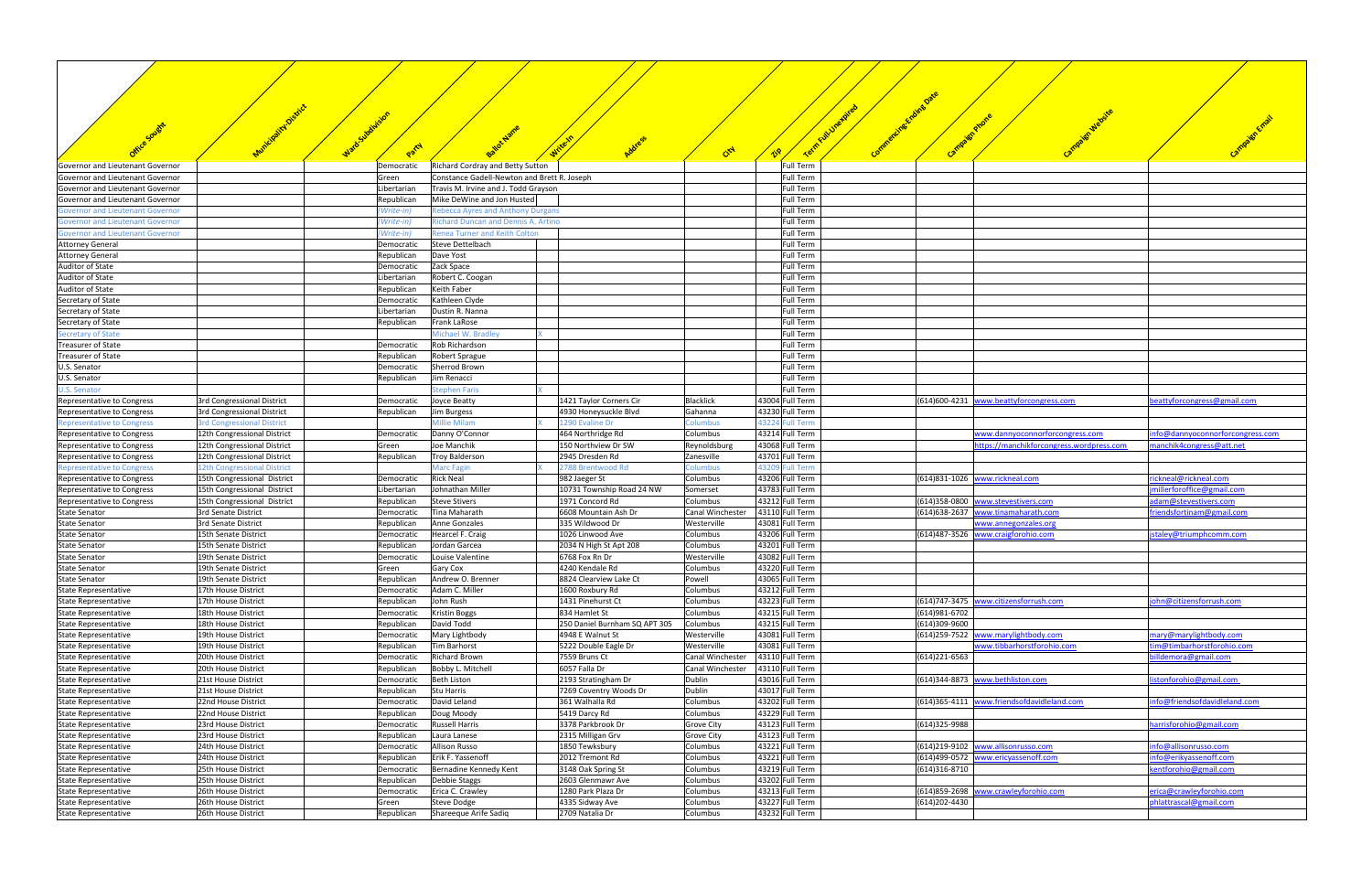|                                                                                    |                                              | Party                    |                                                          | Address                                   | Crd                    |                                     | Camp<br>$\mathcal{C}^{\infty}$ |                                            |                                 |
|------------------------------------------------------------------------------------|----------------------------------------------|--------------------------|----------------------------------------------------------|-------------------------------------------|------------------------|-------------------------------------|--------------------------------|--------------------------------------------|---------------------------------|
| Governor and Lieutenant Governor                                                   |                                              | Democratic               | <b>Richard Cordray and Betty Sutton</b>                  |                                           |                        | Full Term                           |                                |                                            |                                 |
| Governor and Lieutenant Governor                                                   |                                              | Green                    | Constance Gadell-Newton and Brett R. Joseph              |                                           |                        | Full Term                           |                                |                                            |                                 |
| Governor and Lieutenant Governor                                                   |                                              | Libertarian              | Travis M. Irvine and J. Todd Grayson                     |                                           |                        | <b>Full Term</b>                    |                                |                                            |                                 |
| Governor and Lieutenant Governor                                                   |                                              | Republican               | Mike DeWine and Jon Husted                               |                                           |                        | Full Term                           |                                |                                            |                                 |
| <b>Sovernor and Lieutenant Governor</b>                                            |                                              | (Write-in)               | <b>Rebecca Ayres and Anthony Durgans</b>                 |                                           |                        | Full Term                           |                                |                                            |                                 |
| <b>Sovernor and Lieutenant Governor</b>                                            |                                              | (Write-in)               | Richard Duncan and Dennis A. Artino                      |                                           |                        | <b>Full Term</b>                    |                                |                                            |                                 |
| <b>Governor and Lieutenant Governor</b><br><b>Attorney General</b>                 |                                              | (Write-in)               | <b>Renea Turner and Keith Colton</b><br>Steve Dettelbach |                                           |                        | Full Term<br>Full Term              |                                |                                            |                                 |
| <b>Attorney General</b>                                                            |                                              | Democratic<br>Republican | Dave Yost                                                |                                           |                        | <b>Full Term</b>                    |                                |                                            |                                 |
| Auditor of State                                                                   |                                              | Democratic               | Zack Space                                               |                                           |                        | Full Term                           |                                |                                            |                                 |
| Auditor of State                                                                   |                                              | Libertarian              | Robert C. Coogan                                         |                                           |                        | Full Term                           |                                |                                            |                                 |
| Auditor of State                                                                   |                                              | Republican               | Keith Faber                                              |                                           |                        | <b>Full Term</b>                    |                                |                                            |                                 |
| Secretary of State                                                                 |                                              | Democratic               | Kathleen Clyde                                           |                                           |                        | Full Term                           |                                |                                            |                                 |
| Secretary of State                                                                 |                                              | Libertarian              | Dustin R. Nanna                                          |                                           |                        | <b>Full Term</b>                    |                                |                                            |                                 |
| Secretary of State                                                                 |                                              | Republican               | Frank LaRose                                             |                                           |                        | <b>Full Term</b>                    |                                |                                            |                                 |
| Secretary of State                                                                 |                                              |                          | Michael W. Bradley                                       |                                           |                        | Full Term                           |                                |                                            |                                 |
| <b>Treasurer of State</b>                                                          |                                              | Democratic               | Rob Richardson                                           |                                           |                        | <b>Full Term</b>                    |                                |                                            |                                 |
| Treasurer of State                                                                 |                                              | Republican               | Robert Sprague                                           |                                           |                        | <b>Full Term</b>                    |                                |                                            |                                 |
| U.S. Senator                                                                       |                                              | Democratic               | Sherrod Brown                                            |                                           |                        | <b>Full Term</b>                    |                                |                                            |                                 |
| U.S. Senator                                                                       |                                              | Republican               | Jim Renacci                                              |                                           |                        | <b>Full Term</b>                    |                                |                                            |                                 |
| <b>J.S. Senator</b>                                                                | 3rd Congressional District                   |                          | <b>Stephen Faris</b><br>Joyce Beatty                     | 1421 Taylor Corners Cir                   | Blacklick              | <b>Full Term</b><br>43004 Full Term |                                | (614)600-4231 www.beattyforcongress.com    | beattyforcongress@gmail.com     |
| Representative to Congress                                                         | 3rd Congressional District                   | Democratic<br>Republican | Jim Burgess                                              | 4930 Honeysuckle Blvd                     | Gahanna                | 43230 Full Term                     |                                |                                            |                                 |
| Representative to Congress<br><b>Representative to Congress</b>                    | <b>3rd Congressional District</b>            |                          | <b>Millie Milam</b>                                      | 1290 Evaline Dr                           | <b>Columbus</b>        | 43224 Full Term                     |                                |                                            |                                 |
| Representative to Congress                                                         | 12th Congressional District                  | Democratic               | Danny O'Connor                                           | 464 Northridge Rd                         | Columbus               | 43214 Full Term                     |                                | www.dannyoconnorforcongress.com            | nfo@dannyoconnorforcongress.com |
| Representative to Congress                                                         | 12th Congressional District                  | Green                    | Joe Manchik                                              | 150 Northview Dr SW                       | Reynoldsburg           | 43068 Full Term                     |                                | https://manchikforcongress.wordpress.com   | manchik4congress@att.net        |
| Representative to Congress                                                         | 12th Congressional District                  | Republican               | Troy Balderson                                           | 2945 Dresden Rd                           | Zanesville             | 43701 Full Term                     |                                |                                            |                                 |
| Representative to Congress                                                         | 12th Congressional District                  |                          | <b>Marc Fagin</b>                                        | 2788 Brentwood Rd                         | Columbus               | 43209 Full Term                     |                                |                                            |                                 |
| Representative to Congress                                                         | 15th Congressional District                  | Democratic               | <b>Rick Neal</b>                                         | 982 Jaeger St                             | Columbus               | 43206 Full Term                     |                                | (614)831-1026 www.rickneal.com             | rickneal@rickneal.com           |
| Representative to Congress                                                         | 15th Congressional District                  | Libertarian              | Johnathan Miller                                         | 10731 Township Road 24 NW                 | Somerset               | 43783 Full Term                     |                                |                                            | jmillerforoffice@gmail.com      |
| Representative to Congress                                                         | 15th Congressional District                  | Republican               | <b>Steve Stivers</b>                                     | 1971 Concord Rd                           | Columbus               | 43212 Full Term                     | (614)358-0800                  | www.stevestivers.com                       | adam@stevestivers.com           |
| <b>State Senator</b>                                                               | 3rd Senate District                          | Democratic               | Tina Maharath                                            | 6608 Mountain Ash Dr                      | Canal Winchester       | 43110 Full Term                     | (614) 638-2637                 | www.tinamaharath.com                       | friendsfortinam@gmail.com       |
| <b>State Senator</b>                                                               | 3rd Senate District                          | Republican               | Anne Gonzales                                            | 335 Wildwood Dr                           | Westerville            | 43081 Full Term                     |                                | www.annegonzales.org                       |                                 |
| <b>State Senator</b>                                                               | 15th Senate District                         | Democratic               | Hearcel F. Craig                                         | 1026 Linwood Ave                          | Columbus               | 43206 Full Term                     |                                | (614)487-3526 www.craigforohio.com         | istaley@triumphcomm.com         |
| <b>State Senator</b>                                                               | 15th Senate District                         | Republican               | Jordan Garcea                                            | 2034 N High St Apt 208                    | Columbus               | 43201 Full Term                     |                                |                                            |                                 |
| <b>State Senator</b>                                                               | 19th Senate District                         | Democratic               | Louise Valentine                                         | 6768 Fox Rn Dr                            | Westerville            | 43082 Full Term                     |                                |                                            |                                 |
| <b>State Senator</b><br><b>State Senator</b>                                       | 19th Senate District<br>19th Senate District | Green<br>Republican      | Gary Cox<br>Andrew O. Brenner                            | 4240 Kendale Rd<br>8824 Clearview Lake Ct | Columbus<br>Powell     | 43220 Full Term<br>43065 Full Term  |                                |                                            |                                 |
| <b>State Representative</b>                                                        | 17th House District                          | Democratic               | Adam C. Miller                                           | 1600 Roxbury Rd                           | Columbus               | 43212 Full Term                     |                                |                                            |                                 |
| <b>State Representative</b>                                                        | 17th House District                          | Republican               | John Rush                                                | 1431 Pinehurst Ct                         | Columbus               | 43223 Full Term                     |                                | (614)747-3475 www.citizensforrush.com      | john@citizensforrush.com        |
| <b>State Representative</b>                                                        | 18th House District                          | Democratic               | <b>Kristin Boggs</b>                                     | 834 Hamlet St                             | Columbus               | 43215 Full Term                     | (614) 981-6702                 |                                            |                                 |
| <b>State Representative</b>                                                        | 18th House District                          | Republican               | David Todd                                               | 250 Daniel Burnham SQ APT 305             | Columbus               | 43215 Full Term                     | (614)309-9600                  |                                            |                                 |
| <b>State Representative</b>                                                        | 19th House District                          | Democratic               | Mary Lightbody                                           | 4948 E Walnut St                          | Westerville            | 43081 Full Term                     |                                | (614)259-7522 www.marylightbody.com        | mary@marylightbody.com          |
| <b>State Representative</b>                                                        | 19th House District                          | Republican               | Tim Barhorst                                             | 5222 Double Eagle Dr                      | Westerville            | 43081 Full Term                     |                                | www.tibbarhorstforohio.com                 | tim@timbarhorstforohio.com      |
| State Representative                                                               | 20th House District                          | Democratic               | <b>Richard Brown</b>                                     | 7559 Bruns Ct                             | Canal Winchester       | 43110 Full Term                     | (614)221-6563                  |                                            | billdemora@gmail.com            |
| <b>State Representative</b>                                                        | 20th House District                          | Republican               | Bobby L. Mitchell                                        | 6057 Falla Dr                             | Canal Winchester       | 43110 Full Term                     |                                |                                            |                                 |
| <b>State Representative</b>                                                        | 21st House District                          | Democratic               | <b>Beth Liston</b>                                       | 2193 Stratingham Dr                       | Dublin                 | 43016 Full Term                     | (614)344-8873                  | www.bethliston.com                         | listonforohio@gmail.com         |
| <b>State Representative</b>                                                        | 21st House District                          | Republican               | Stu Harris                                               | 7269 Coventry Woods Dr                    | Dublin                 | 43017 Full Term                     |                                |                                            |                                 |
| <b>State Representative</b>                                                        | 22nd House District                          | Democratic               | David Leland                                             | 361 Walhalla Rd                           | Columbus               | 43202 Full Term                     |                                | (614)365-4111 www.friendsofdavidleland.com | info@friendsofdavidleland.com   |
| <b>State Representative</b>                                                        | 22nd House District                          | Republican               | Doug Moody                                               | 5419 Darcy Rd                             | Columbus               | 43229 Full Term                     |                                |                                            | harrisforohio@gmail.com         |
| <b>State Representative</b>                                                        | 23rd House District<br>23rd House District   | Democratic<br>Republican | <b>Russell Harris</b><br>Laura Lanese                    | 3378 Parkbrook Dr<br>2315 Milligan Grv    | Grove City             | 43123 Full Term<br>43123 Full Term  | (614)325-9988                  |                                            |                                 |
| <b>State Representative</b><br><b>State Representative</b>                         | 24th House District                          | Democratic               | <b>Allison Russo</b>                                     | 1850 Tewksbury                            | Grove City<br>Columbus | 43221 Full Term                     | (614)219-9102                  | www.allisonrusso.com                       | info@allisonrusso.com           |
| <b>State Representative</b>                                                        | 24th House District                          | Republican               | Erik F. Yassenoff                                        | 2012 Tremont Rd                           | Columbus               | 43221 Full Term                     |                                | (614)499-0572 www.ericyassenoff.com        | info@erikyassenoff.com          |
|                                                                                    | 25th House District                          | Democratic               | Bernadine Kennedy Kent                                   | 3148 Oak Spring St                        | Columbus               | 43219 Full Term                     | (614)316-8710                  |                                            | kentforohio@gmail.com           |
|                                                                                    |                                              |                          |                                                          |                                           |                        |                                     |                                |                                            |                                 |
|                                                                                    | 25th House District                          | Republican               | Debbie Staggs                                            | 2603 Glenmawr Ave                         | Columbus               | 43202 Full Term                     |                                |                                            |                                 |
| State Representative<br><b>State Representative</b><br><b>State Representative</b> | 26th House District                          | Democratic               | Erica C. Crawley                                         | 1280 Park Plaza Dr                        | Columbus               | 43213 Full Term                     | (614)859-2698                  | www.crawleyforohio.com                     | erica@crawleyforohio.com        |
| <b>State Representative</b>                                                        | 26th House District                          | Green                    | Steve Dodge                                              | 4335 Sidway Ave                           | Columbus               | 43227 Full Term                     | (614) 202-4430                 |                                            | phlattrascal@gmail.com          |